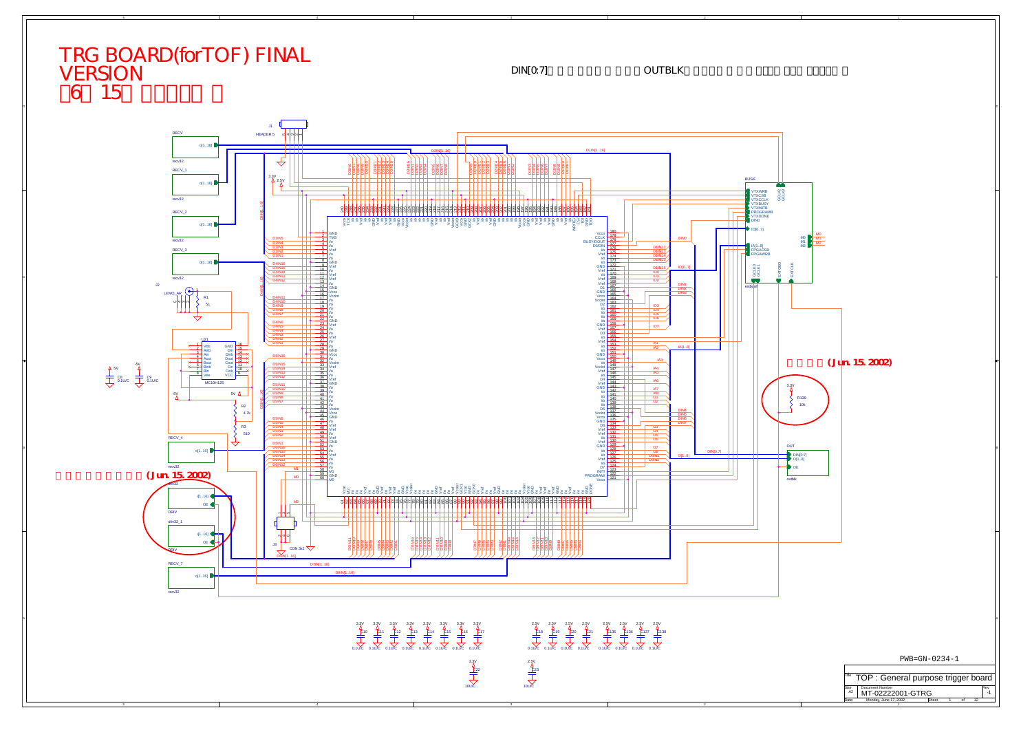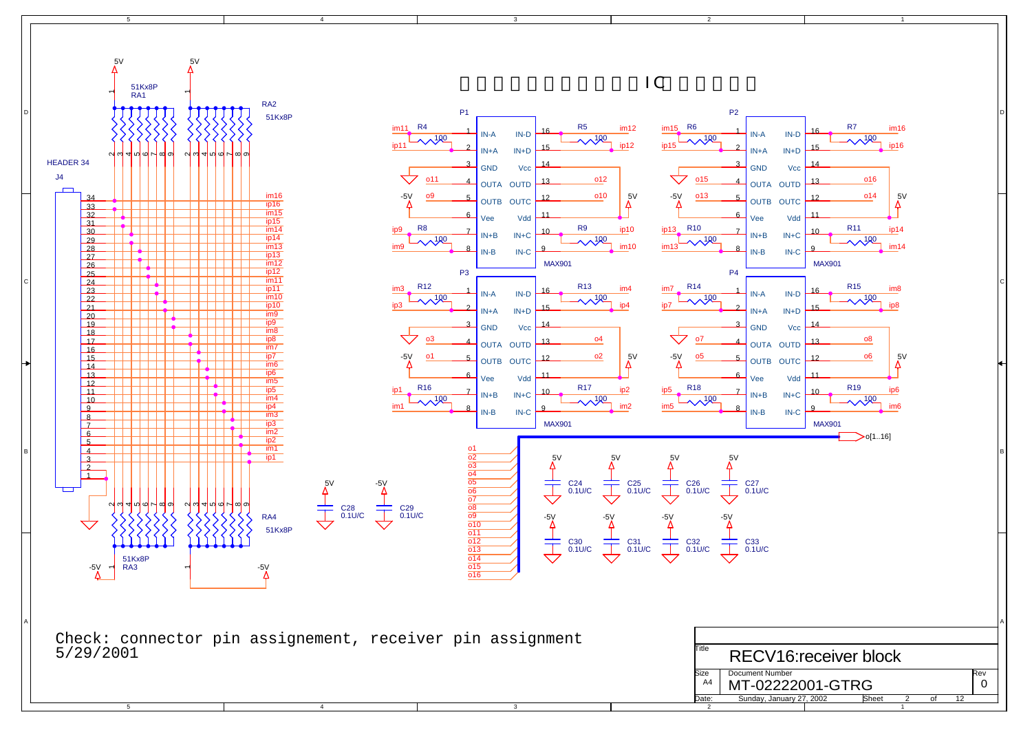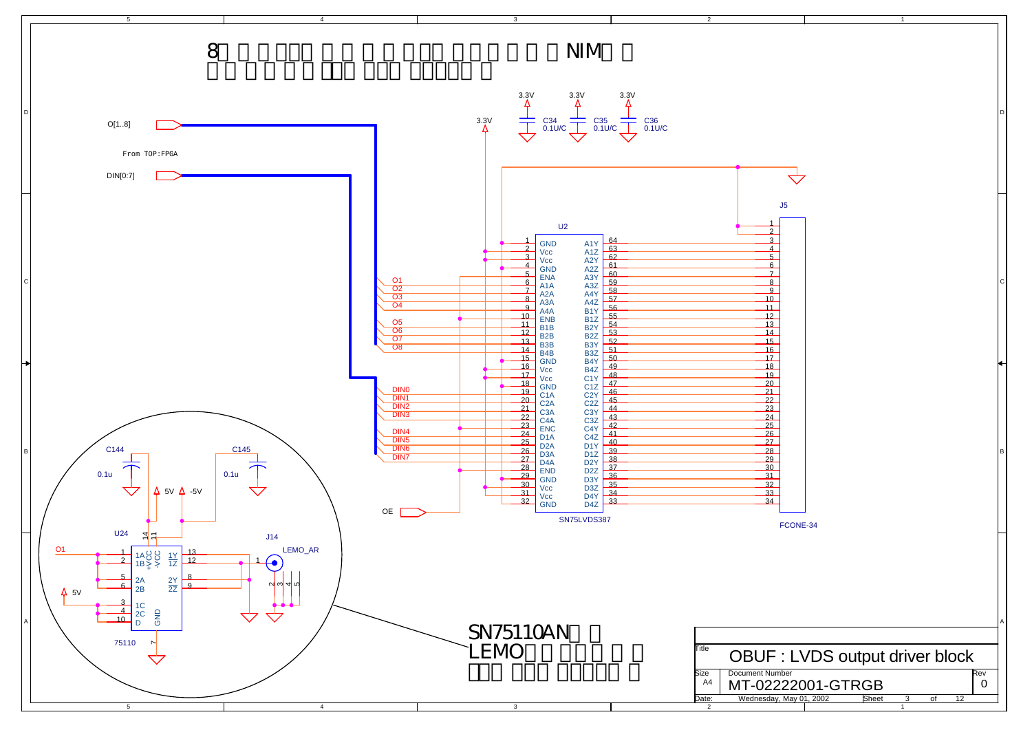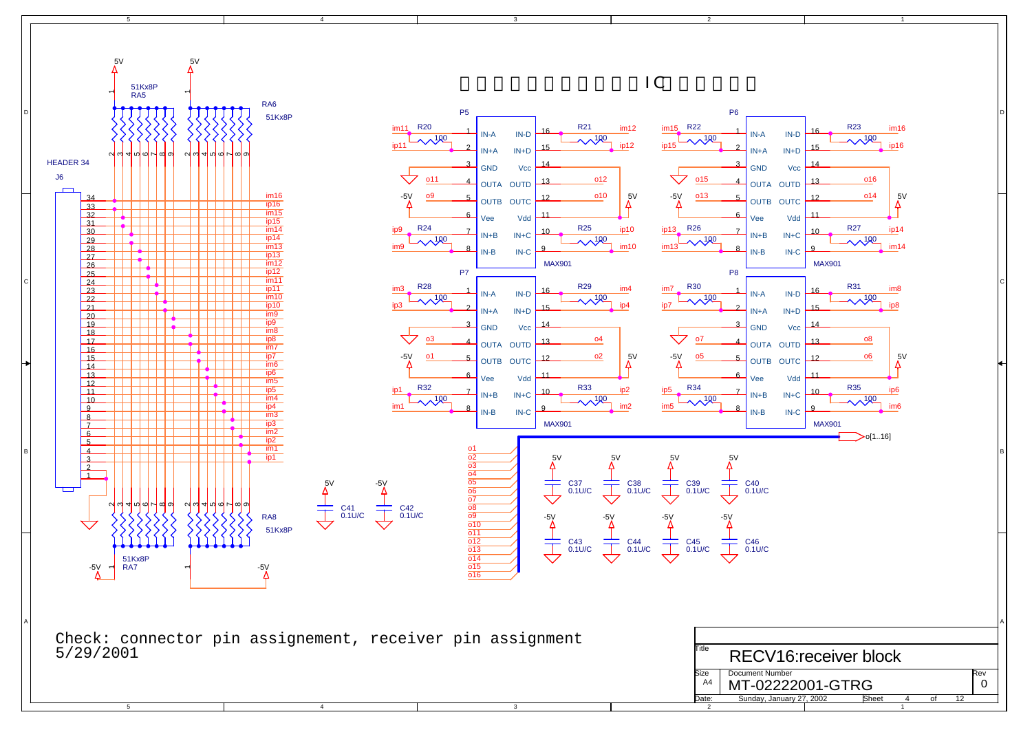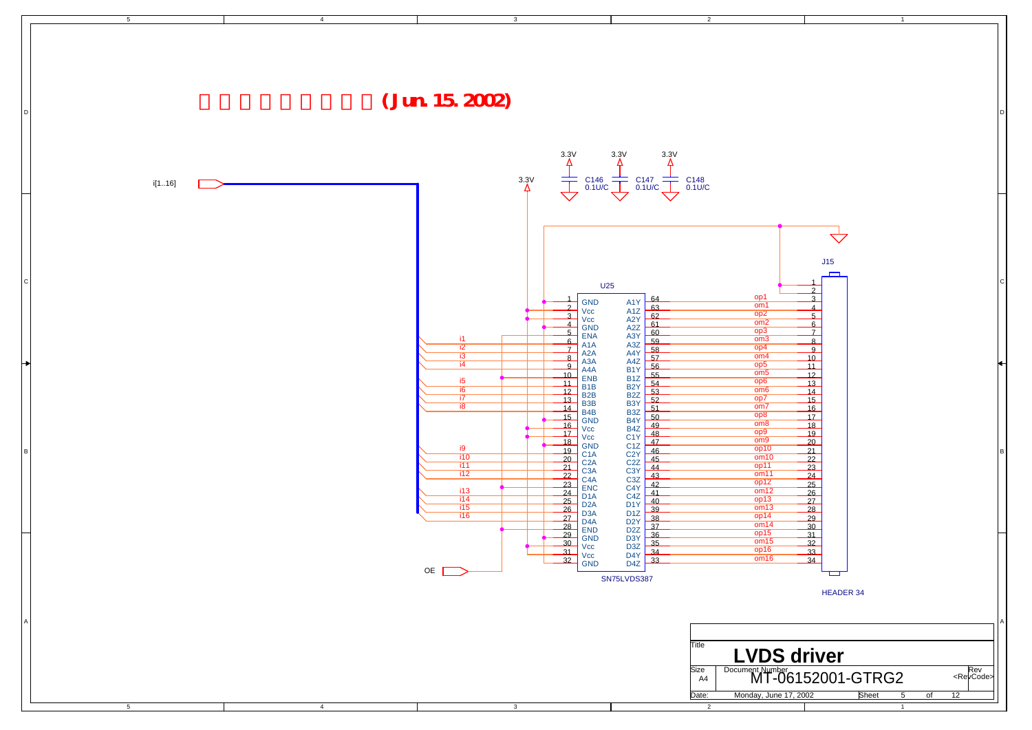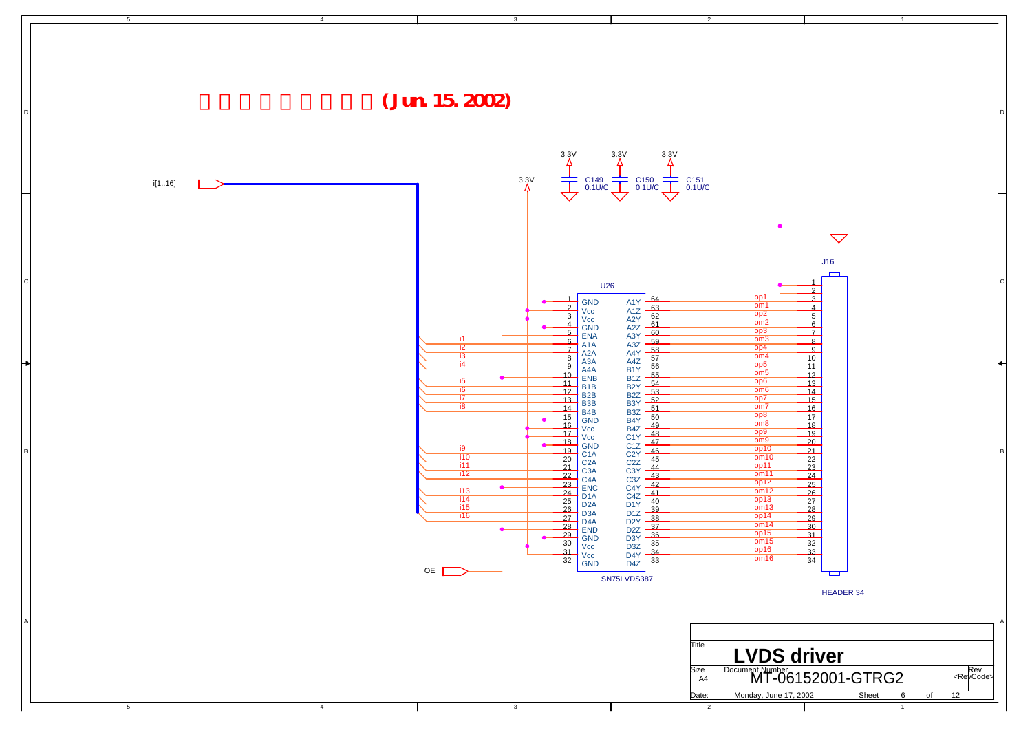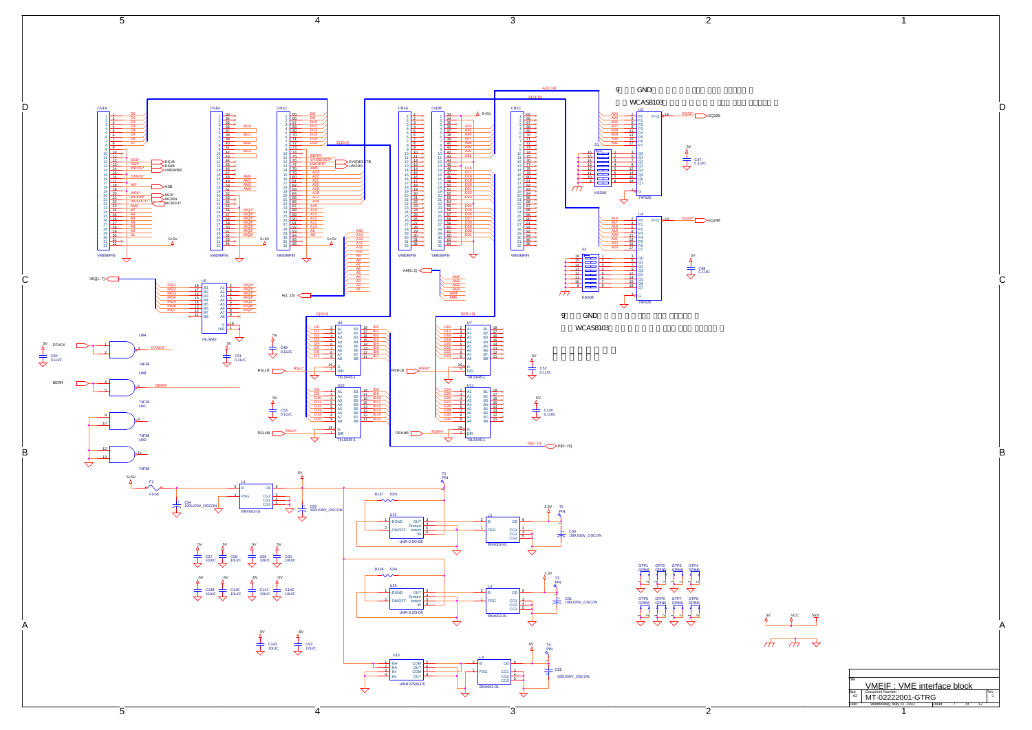

A  
\n
$$
\begin{array}{|c|c|}\n\hline\n\downarrow^{\text{CC}} & \text{Sig} \\
\hline\n\uparrow^{\text{C}} & \text{MME IF. :} \text{VME interface block} \\
\hline\n\downarrow^{\text{R}} & \text{MMEDF. :} \text{VME interface block} \\
\hline\n\downarrow^{\text{R}} & \text{MW2O22001-GTRQ} \\
\hline\n\downarrow^{\text{R}} & \text{MW2O22001-GTRQ} \\
\hline\n\downarrow^{\text{R}} & \text{MW2O22001-GTRQ} \\
\hline\n\downarrow^{\text{R}} & \text{MW2O22001-GTRQ} \\
\hline\n\downarrow^{\text{R}} & \text{MW2O22001} \\
\hline\n\downarrow^{\text{R}} & \text{MW2O22001} \\
\hline\n\downarrow^{\text{R}} & \text{MW2O22001} \\
\hline\n\downarrow^{\text{R}} & \text{MW2O22001} \\
\hline\n\downarrow^{\text{R}} & \text{MW2O22001} \\
\hline\n\downarrow^{\text{R}} & \text{MW2O22001} \\
\hline\n\downarrow^{\text{R}} & \text{MW2O22001} \\
\hline\n\downarrow^{\text{R}} & \text{MW2O22001} \\
\hline\n\downarrow^{\text{R}} & \text{MW2O22001} \\
\hline\n\downarrow^{\text{R}} & \text{MW2O22001} \\
\hline\n\downarrow^{\text{R}} & \text{MW2O201} \\
\hline\n\downarrow^{\text{R}} & \text{MW2O22001} \\
\hline\n\downarrow^{\text{R}} & \text{MW2O22001} \\
\hline\n\downarrow^{\text{R}} & \text{MW2O22001} \\
\hline\n\downarrow^{\text{R}} & \text{MW2O22001} \\
\hline\n\downarrow^{\text{R}} & \text{MW2O22001} \\
\hline\n\downarrow^{\text{R}} & \text{MW2O22001} \\
\hline\n\downarrow^{\text{R}} & \text{MW2O201} \\
\hline\n\downarrow^{\text{R}} & \text{MW2O201} \\
\hline\n\downarrow^{\
$$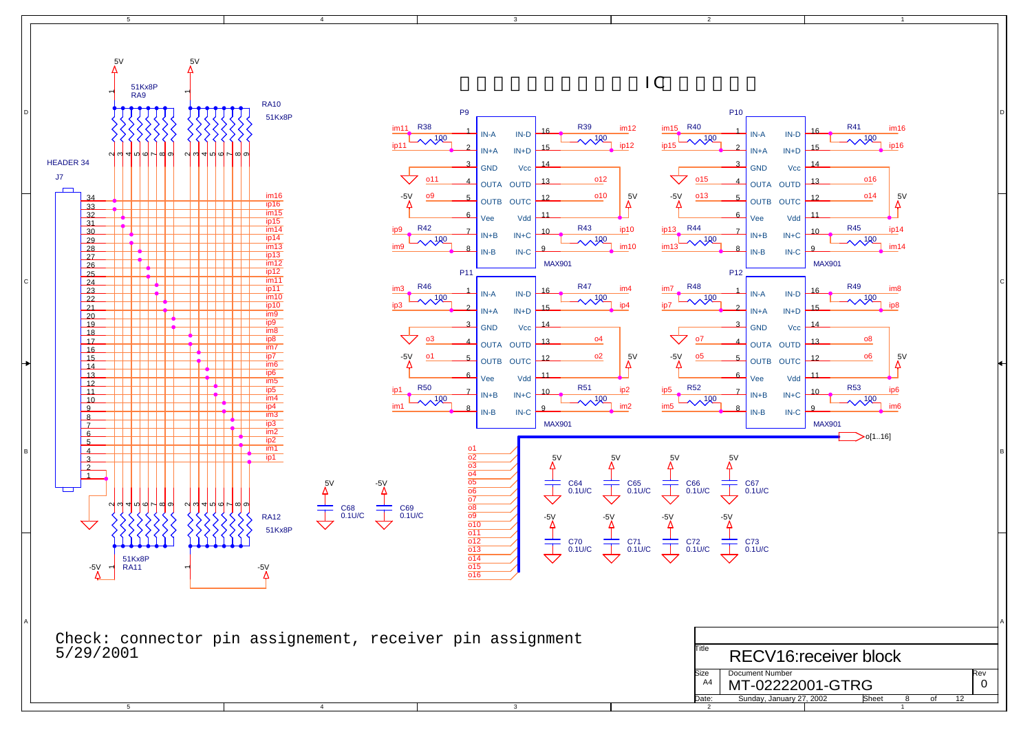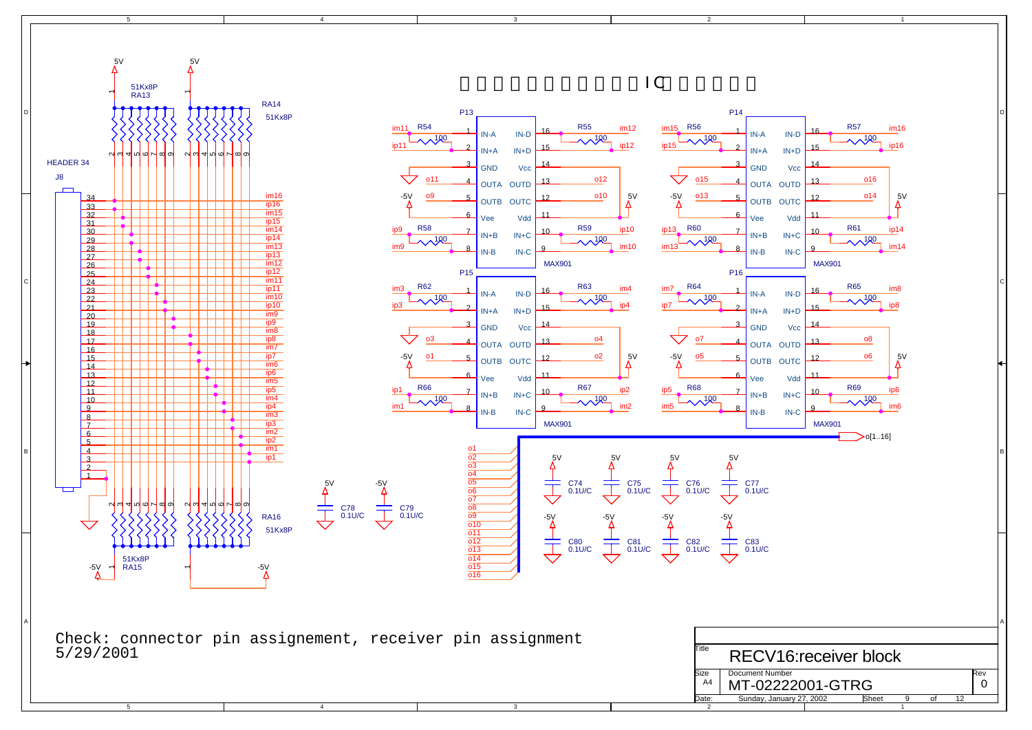![](_page_8_Figure_0.jpeg)

1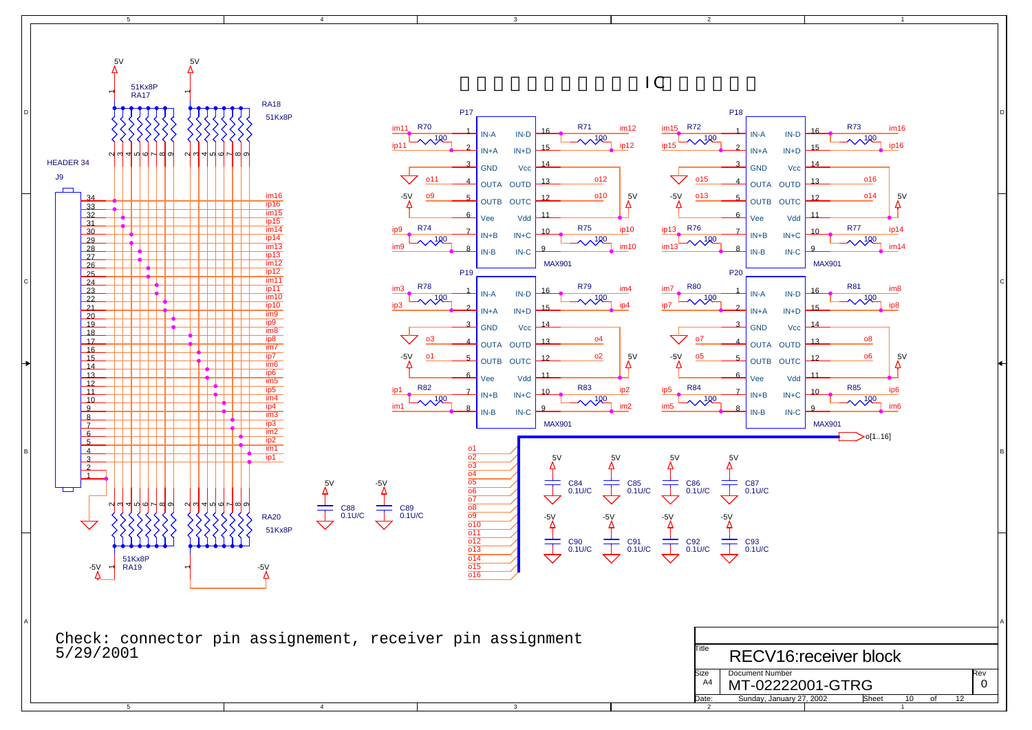4

![](_page_9_Figure_0.jpeg)

3

2

1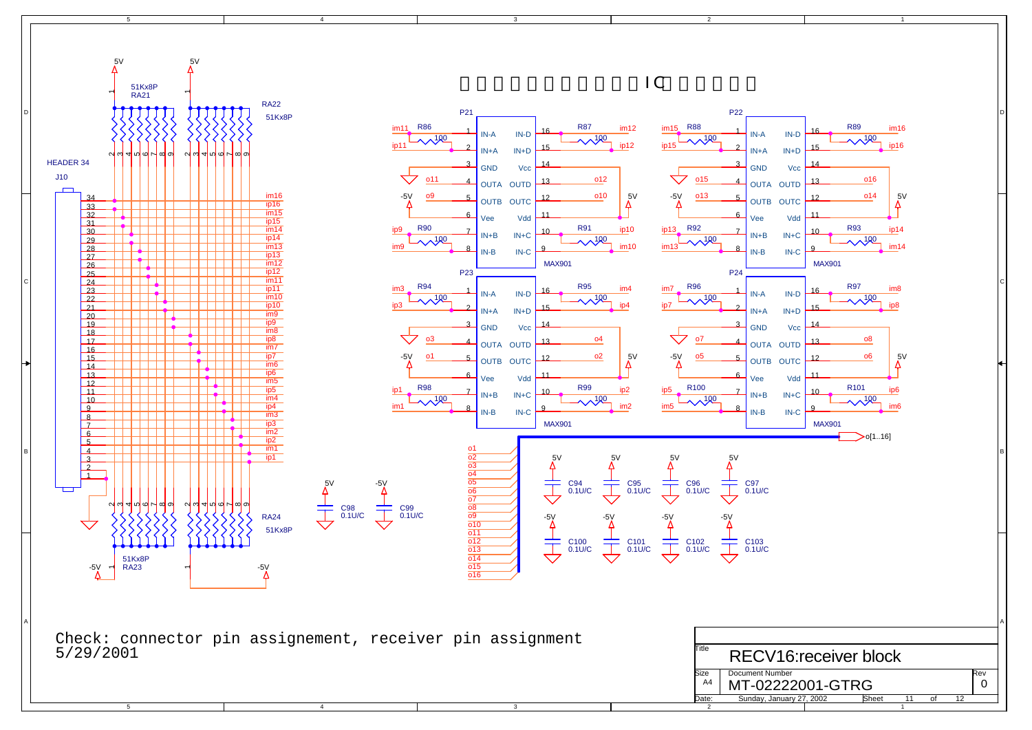![](_page_10_Figure_0.jpeg)